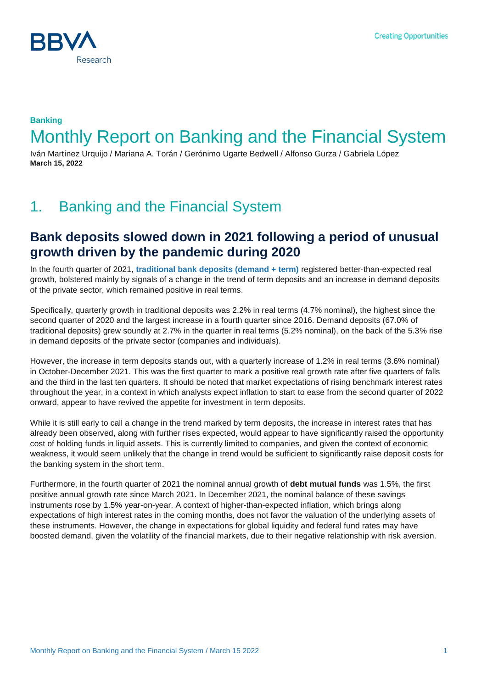

## **Banking** Monthly Report on Banking and the Financial System

Iván Martínez Urquijo / Mariana A. Torán / Gerónimo Ugarte Bedwell / Alfonso Gurza / Gabriela López **March 15, 2022**

# 1. Banking and the Financial System

### **Bank deposits slowed down in 2021 following a period of unusual growth driven by the pandemic during 2020**

In the fourth quarter of 2021, **[traditional bank deposits \(demand + term\)](https://www.bbvaresearch.com/publicaciones/mexico-el-complejo-entorno-economico-dificulto-la-recuperacion-de-la-actividad-bancaria/)** registered better-than-expected real growth, bolstered mainly by signals of a change in the trend of term deposits and an increase in demand deposits of the private sector, which remained positive in real terms.

Specifically, quarterly growth in traditional deposits was 2.2% in real terms (4.7% nominal), the highest since the second quarter of 2020 and the largest increase in a fourth quarter since 2016. Demand deposits (67.0% of traditional deposits) grew soundly at 2.7% in the quarter in real terms (5.2% nominal), on the back of the 5.3% rise in demand deposits of the private sector (companies and individuals).

However, the increase in term deposits stands out, with a quarterly increase of 1.2% in real terms (3.6% nominal) in October-December 2021. This was the first quarter to mark a positive real growth rate after five quarters of falls and the third in the last ten quarters. It should be noted that market expectations of rising benchmark interest rates throughout the year, in a context in which analysts expect inflation to start to ease from the second quarter of 2022 onward, appear to have revived the appetite for investment in term deposits.

While it is still early to call a change in the trend marked by term deposits, the increase in interest rates that has already been observed, along with further rises expected, would appear to have significantly raised the opportunity cost of holding funds in liquid assets. This is currently limited to companies, and given the context of economic weakness, it would seem unlikely that the change in trend would be sufficient to significantly raise deposit costs for the banking system in the short term.

Furthermore, in the fourth quarter of 2021 the nominal annual growth of **debt mutual funds** was 1.5%, the first positive annual growth rate since March 2021. In December 2021, the nominal balance of these savings instruments rose by 1.5% year-on-year. A context of higher-than-expected inflation, which brings along expectations of high interest rates in the coming months, does not favor the valuation of the underlying assets of these instruments. However, the change in expectations for global liquidity and federal fund rates may have boosted demand, given the volatility of the financial markets, due to their negative relationship with risk aversion.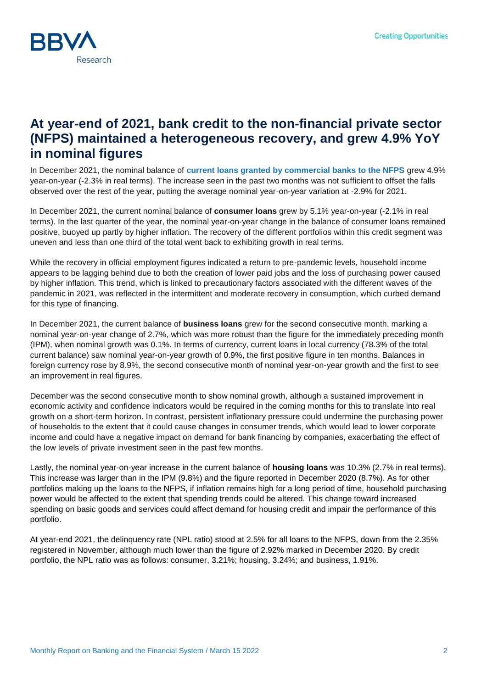

### **At year-end of 2021, bank credit to the non-financial private sector (NFPS) maintained a heterogeneous recovery, and grew 4.9% YoY in nominal figures**

In December 2021, the nominal balance of **[current loans granted by commercial banks to the NFPS](https://www.bbvaresearch.com/publicaciones/mexico-el-complejo-entorno-economico-dificulto-la-recuperacion-de-la-actividad-bancaria/)** grew 4.9% year-on-year (-2.3% in real terms). The increase seen in the past two months was not sufficient to offset the falls observed over the rest of the year, putting the average nominal year-on-year variation at -2.9% for 2021.

In December 2021, the current nominal balance of **consumer loans** grew by 5.1% year-on-year (-2.1% in real terms). In the last quarter of the year, the nominal year-on-year change in the balance of consumer loans remained positive, buoyed up partly by higher inflation. The recovery of the different portfolios within this credit segment was uneven and less than one third of the total went back to exhibiting growth in real terms.

While the recovery in official employment figures indicated a return to pre-pandemic levels, household income appears to be lagging behind due to both the creation of lower paid jobs and the loss of purchasing power caused by higher inflation. This trend, which is linked to precautionary factors associated with the different waves of the pandemic in 2021, was reflected in the intermittent and moderate recovery in consumption, which curbed demand for this type of financing.

In December 2021, the current balance of **business loans** grew for the second consecutive month, marking a nominal year-on-year change of 2.7%, which was more robust than the figure for the immediately preceding month (IPM), when nominal growth was 0.1%. In terms of currency, current loans in local currency (78.3% of the total current balance) saw nominal year-on-year growth of 0.9%, the first positive figure in ten months. Balances in foreign currency rose by 8.9%, the second consecutive month of nominal year-on-year growth and the first to see an improvement in real figures.

December was the second consecutive month to show nominal growth, although a sustained improvement in economic activity and confidence indicators would be required in the coming months for this to translate into real growth on a short-term horizon. In contrast, persistent inflationary pressure could undermine the purchasing power of households to the extent that it could cause changes in consumer trends, which would lead to lower corporate income and could have a negative impact on demand for bank financing by companies, exacerbating the effect of the low levels of private investment seen in the past few months.

Lastly, the nominal year-on-year increase in the current balance of **housing loans** was 10.3% (2.7% in real terms). This increase was larger than in the IPM (9.8%) and the figure reported in December 2020 (8.7%). As for other portfolios making up the loans to the NFPS, if inflation remains high for a long period of time, household purchasing power would be affected to the extent that spending trends could be altered. This change toward increased spending on basic goods and services could affect demand for housing credit and impair the performance of this portfolio.

At year-end 2021, the delinquency rate (NPL ratio) stood at 2.5% for all loans to the NFPS, down from the 2.35% registered in November, although much lower than the figure of 2.92% marked in December 2020. By credit portfolio, the NPL ratio was as follows: consumer, 3.21%; housing, 3.24%; and business, 1.91%.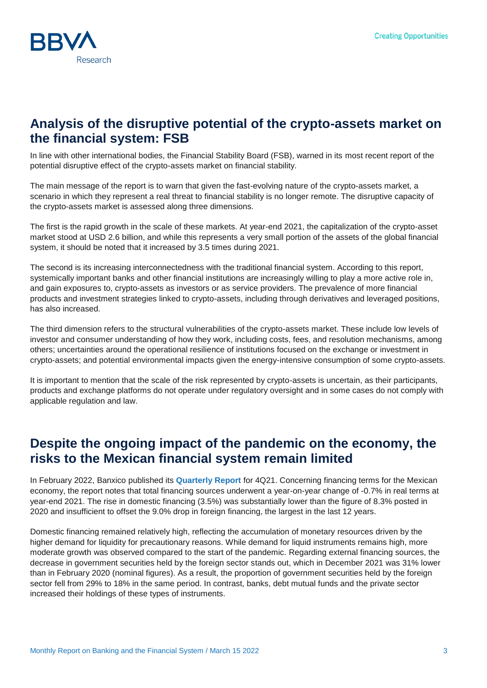

#### **Analysis of the disruptive potential of the crypto-assets market on the financial system: FSB**

In line with other international bodies, the Financial Stability Board (FSB), warned in its [most recent report](https://www.fsb.org/wp-content/uploads/P160222.pdf) of the potential disruptive effect of the crypto-assets market on financial stability.

The main message of the report is to warn that given the fast-evolving nature of the crypto-assets market, a scenario in which they represent a real threat to financial stability is no longer remote. The disruptive capacity of the crypto-assets market is assessed along three dimensions.

The first is the rapid growth in the scale of these markets. At year-end 2021, the capitalization of the crypto-asset market stood at USD 2.6 billion, and while this represents a very small portion of the assets of the global financial system, it should be noted that it increased by 3.5 times during 2021.

The second is its increasing interconnectedness with the traditional financial system. According to this report, systemically important banks and other financial institutions are increasingly willing to play a more active role in, and gain exposures to, crypto-assets as investors or as service providers. The prevalence of more financial products and investment strategies linked to crypto-assets, including through derivatives and leveraged positions, has also increased.

The third dimension refers to the structural vulnerabilities of the crypto-assets market. These include low levels of investor and consumer understanding of how they work, including costs, fees, and resolution mechanisms, among others; uncertainties around the operational resilience of institutions focused on the exchange or investment in crypto-assets; and potential environmental impacts given the energy-intensive consumption of some crypto-assets.

It is important to mention that the scale of the risk represented by crypto-assets is uncertain, as their participants, products and exchange platforms do not operate under regulatory oversight and in some cases do not comply with applicable regulation and law.

### **Despite the ongoing impact of the pandemic on the economy, the risks to the Mexican financial system remain limited**

In February 2022, Banxico published its **[Quarterly Report](https://www.banxico.org.mx/publicaciones-y-prensa/informes-trimestrales/%7B9CE4F0BD-2CE1-0A7C-9A88-7FBFC2411A53%7D.pdf)** for 4Q21. Concerning financing terms for the Mexican economy, the report notes that total financing sources underwent a year-on-year change of -0.7% in real terms at year-end 2021. The rise in domestic financing (3.5%) was substantially lower than the figure of 8.3% posted in 2020 and insufficient to offset the 9.0% drop in foreign financing, the largest in the last 12 years.

Domestic financing remained relatively high, reflecting the accumulation of monetary resources driven by the higher demand for liquidity for precautionary reasons. While demand for liquid instruments remains high, more moderate growth was observed compared to the start of the pandemic. Regarding external financing sources, the decrease in government securities held by the foreign sector stands out, which in December 2021 was 31% lower than in February 2020 (nominal figures). As a result, the proportion of government securities held by the foreign sector fell from 29% to 18% in the same period. In contrast, banks, debt mutual funds and the private sector increased their holdings of these types of instruments.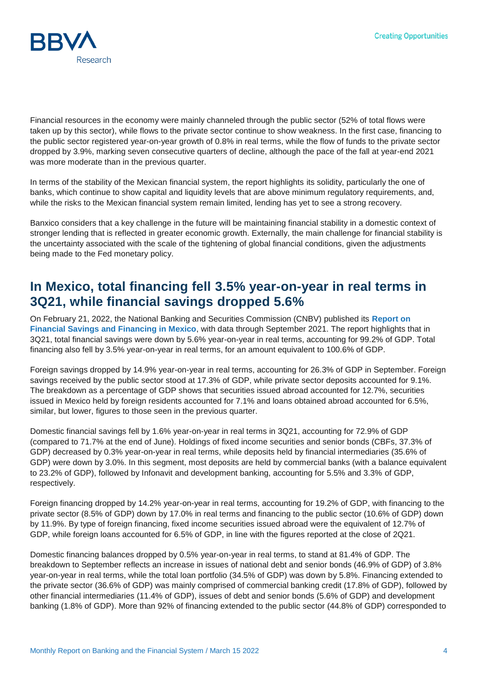

Financial resources in the economy were mainly channeled through the public sector (52% of total flows were taken up by this sector), while flows to the private sector continue to show weakness. In the first case, financing to the public sector registered year-on-year growth of 0.8% in real terms, while the flow of funds to the private sector dropped by 3.9%, marking seven consecutive quarters of decline, although the pace of the fall at year-end 2021 was more moderate than in the previous quarter.

In terms of the stability of the Mexican financial system, the report highlights its solidity, particularly the one of banks, which continue to show capital and liquidity levels that are above minimum regulatory requirements, and, while the risks to the Mexican financial system remain limited, lending has yet to see a strong recovery.

Banxico considers that a key challenge in the future will be maintaining financial stability in a domestic context of stronger lending that is reflected in greater economic growth. Externally, the main challenge for financial stability is the uncertainty associated with the scale of the tightening of global financial conditions, given the adjustments being made to the Fed monetary policy.

### **In Mexico, total financing fell 3.5% year-on-year in real terms in 3Q21, while financial savings dropped 5.6%**

On February 21, 2022, the National Banking and Securities Commission (CNBV) published its **[Report on](https://www.gob.mx/cms/uploads/attachment/file/704831/AFyFeM_sep_2021OK.pdf)  [Financial Savings and Financing in Mexico](https://www.gob.mx/cms/uploads/attachment/file/704831/AFyFeM_sep_2021OK.pdf)**, with data through September 2021. The report highlights that in 3Q21, total financial savings were down by 5.6% year-on-year in real terms, accounting for 99.2% of GDP. Total financing also fell by 3.5% year-on-year in real terms, for an amount equivalent to 100.6% of GDP.

Foreign savings dropped by 14.9% year-on-year in real terms, accounting for 26.3% of GDP in September. Foreign savings received by the public sector stood at 17.3% of GDP, while private sector deposits accounted for 9.1%. The breakdown as a percentage of GDP shows that securities issued abroad accounted for 12.7%, securities issued in Mexico held by foreign residents accounted for 7.1% and loans obtained abroad accounted for 6.5%, similar, but lower, figures to those seen in the previous quarter.

Domestic financial savings fell by 1.6% year-on-year in real terms in 3Q21, accounting for 72.9% of GDP (compared to 71.7% at the end of June). Holdings of fixed income securities and senior bonds (CBFs, 37.3% of GDP) decreased by 0.3% year-on-year in real terms, while deposits held by financial intermediaries (35.6% of GDP) were down by 3.0%. In this segment, most deposits are held by commercial banks (with a balance equivalent to 23.2% of GDP), followed by Infonavit and development banking, accounting for 5.5% and 3.3% of GDP, respectively.

Foreign financing dropped by 14.2% year-on-year in real terms, accounting for 19.2% of GDP, with financing to the private sector (8.5% of GDP) down by 17.0% in real terms and financing to the public sector (10.6% of GDP) down by 11.9%. By type of foreign financing, fixed income securities issued abroad were the equivalent of 12.7% of GDP, while foreign loans accounted for 6.5% of GDP, in line with the figures reported at the close of 2Q21.

Domestic financing balances dropped by 0.5% year-on-year in real terms, to stand at 81.4% of GDP. The breakdown to September reflects an increase in issues of national debt and senior bonds (46.9% of GDP) of 3.8% year-on-year in real terms, while the total loan portfolio (34.5% of GDP) was down by 5.8%. Financing extended to the private sector (36.6% of GDP) was mainly comprised of commercial banking credit (17.8% of GDP), followed by other financial intermediaries (11.4% of GDP), issues of debt and senior bonds (5.6% of GDP) and development banking (1.8% of GDP). More than 92% of financing extended to the public sector (44.8% of GDP) corresponded to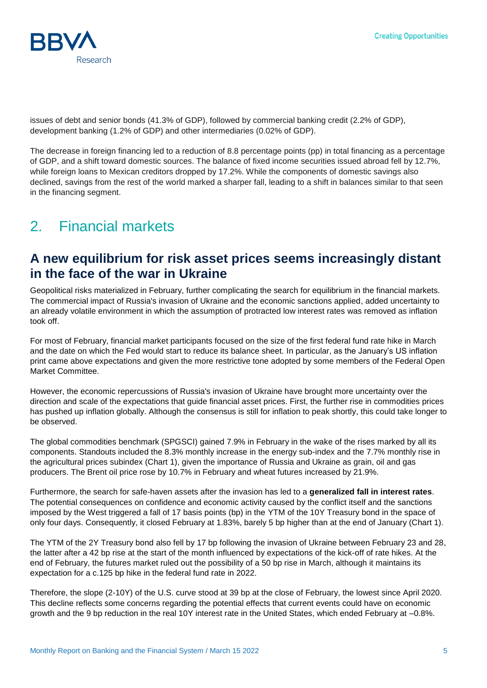

issues of debt and senior bonds (41.3% of GDP), followed by commercial banking credit (2.2% of GDP), development banking (1.2% of GDP) and other intermediaries (0.02% of GDP).

The decrease in foreign financing led to a reduction of 8.8 percentage points (pp) in total financing as a percentage of GDP, and a shift toward domestic sources. The balance of fixed income securities issued abroad fell by 12.7%, while foreign loans to Mexican creditors dropped by 17.2%. While the components of domestic savings also declined, savings from the rest of the world marked a sharper fall, leading to a shift in balances similar to that seen in the financing segment.

# 2. Financial markets

#### **A new equilibrium for risk asset prices seems increasingly distant in the face of the war in Ukraine**

Geopolitical risks materialized in February, further complicating the search for equilibrium in the financial markets. The commercial impact of Russia's invasion of Ukraine and the economic sanctions applied, added uncertainty to an already volatile environment in which the assumption of protracted low interest rates was removed as inflation took off.

For most of February, financial market participants focused on the size of the first federal fund rate hike in March and the date on which the Fed would start to reduce its balance sheet. In particular, as the January's US inflation print came above expectations and given the more restrictive tone adopted by some members of the Federal Open Market Committee.

However, the economic repercussions of Russia's invasion of Ukraine have brought more uncertainty over the direction and scale of the expectations that guide financial asset prices. First, the further rise in commodities prices has pushed up inflation globally. Although the consensus is still for inflation to peak shortly, this could take longer to be observed.

The global commodities benchmark (SPGSCI) gained 7.9% in February in the wake of the rises marked by all its components. Standouts included the 8.3% monthly increase in the energy sub-index and the 7.7% monthly rise in the agricultural prices subindex (Chart 1), given the importance of Russia and Ukraine as grain, oil and gas producers. The Brent oil price rose by 10.7% in February and wheat futures increased by 21.9%.

Furthermore, the search for safe-haven assets after the invasion has led to a **generalized fall in interest rates**. The potential consequences on confidence and economic activity caused by the conflict itself and the sanctions imposed by the West triggered a fall of 17 basis points (bp) in the YTM of the 10Y Treasury bond in the space of only four days. Consequently, it closed February at 1.83%, barely 5 bp higher than at the end of January (Chart 1).

The YTM of the 2Y Treasury bond also fell by 17 bp following the invasion of Ukraine between February 23 and 28, the latter after a 42 bp rise at the start of the month influenced by expectations of the kick-off of rate hikes. At the end of February, the futures market ruled out the possibility of a 50 bp rise in March, although it maintains its expectation for a c.125 bp hike in the federal fund rate in 2022.

Therefore, the slope (2-10Y) of the U.S. curve stood at 39 bp at the close of February, the lowest since April 2020. This decline reflects some concerns regarding the potential effects that current events could have on economic growth and the 9 bp reduction in the real 10Y interest rate in the United States, which ended February at –0.8%.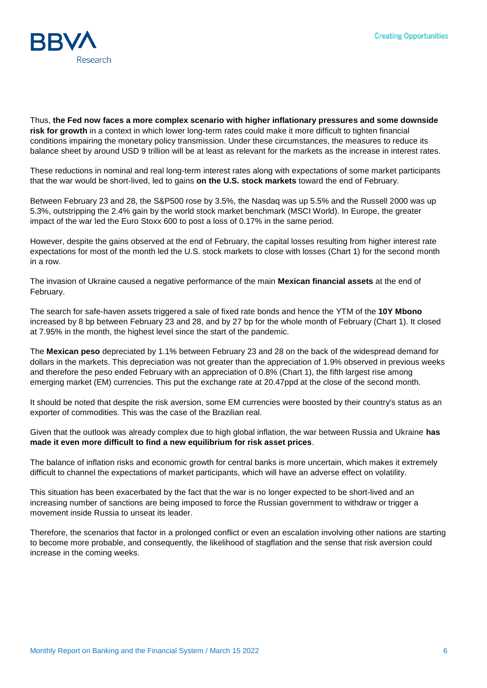

Thus, **the Fed now faces a more complex scenario with higher inflationary pressures and some downside risk for growth** in a context in which lower long-term rates could make it more difficult to tighten financial conditions impairing the monetary policy transmission. Under these circumstances, the measures to reduce its balance sheet by around USD 9 trillion will be at least as relevant for the markets as the increase in interest rates.

These reductions in nominal and real long-term interest rates along with expectations of some market participants that the war would be short-lived, led to gains **on the U.S. stock markets** toward the end of February.

Between February 23 and 28, the S&P500 rose by 3.5%, the Nasdaq was up 5.5% and the Russell 2000 was up 5.3%, outstripping the 2.4% gain by the world stock market benchmark (MSCI World). In Europe, the greater impact of the war led the Euro Stoxx 600 to post a loss of 0.17% in the same period.

However, despite the gains observed at the end of February, the capital losses resulting from higher interest rate expectations for most of the month led the U.S. stock markets to close with losses (Chart 1) for the second month in a row.

The invasion of Ukraine caused a negative performance of the main **Mexican financial assets** at the end of February.

The search for safe-haven assets triggered a sale of fixed rate bonds and hence the YTM of the **10Y Mbono** increased by 8 bp between February 23 and 28, and by 27 bp for the whole month of February (Chart 1). It closed at 7.95% in the month, the highest level since the start of the pandemic.

The **Mexican peso** depreciated by 1.1% between February 23 and 28 on the back of the widespread demand for dollars in the markets. This depreciation was not greater than the appreciation of 1.9% observed in previous weeks and therefore the peso ended February with an appreciation of 0.8% (Chart 1), the fifth largest rise among emerging market (EM) currencies. This put the exchange rate at 20.47ppd at the close of the second month.

It should be noted that despite the risk aversion, some EM currencies were boosted by their country's status as an exporter of commodities. This was the case of the Brazilian real.

Given that the outlook was already complex due to high global inflation, the war between Russia and Ukraine **has made it even more difficult to find a new equilibrium for risk asset prices**.

The balance of inflation risks and economic growth for central banks is more uncertain, which makes it extremely difficult to channel the expectations of market participants, which will have an adverse effect on volatility.

This situation has been exacerbated by the fact that the war is no longer expected to be short-lived and an increasing number of sanctions are being imposed to force the Russian government to withdraw or trigger a movement inside Russia to unseat its leader.

Therefore, the scenarios that factor in a prolonged conflict or even an escalation involving other nations are starting to become more probable, and consequently, the likelihood of stagflation and the sense that risk aversion could increase in the coming weeks.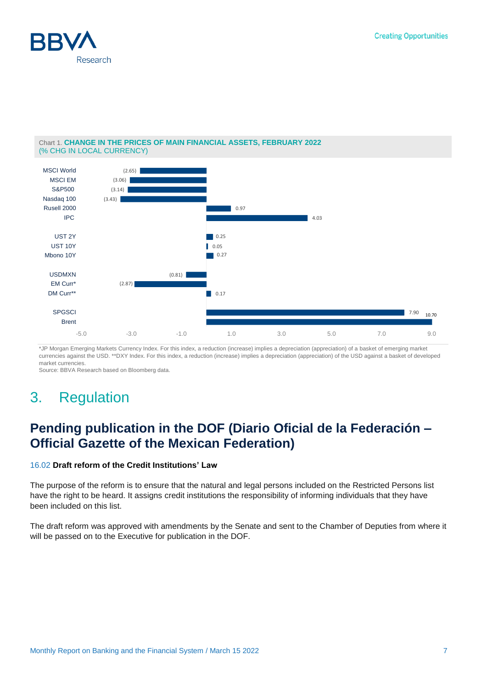



#### Chart 1. **CHANGE IN THE PRICES OF MAIN FINANCIAL ASSETS, FEBRUARY 2022** (% CHG IN LOCAL CURRENCY)

\*JP Morgan Emerging Markets Currency Index. For this index, a reduction (increase) implies a depreciation (appreciation) of a basket of emerging market currencies against the USD. \*\*DXY Index. For this index, a reduction (increase) implies a depreciation (appreciation) of the USD against a basket of developed market currencies.

Source: BBVA Research based on Bloomberg data.

# 3. Regulation

## **Pending publication in the DOF (Diario Oficial de la Federación – Official Gazette of the Mexican Federation)**

#### [16.02](http://gaceta.diputados.gob.mx/PDF/65/2022/feb/20220215-V.pdf) **Draft reform of the Credit Institutions' Law**

The purpose of the reform is to ensure that the natural and legal persons included on the Restricted Persons list have the right to be heard. It assigns credit institutions the responsibility of informing individuals that they have been included on this list.

The draft reform was approved with amendments by the Senate and sent to the Chamber of Deputies from where it will be passed on to the Executive for publication in the DOF.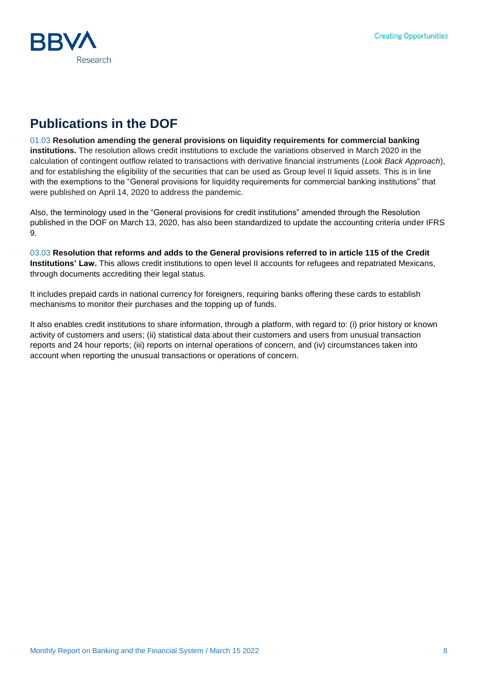

## **Publications in the DOF**

[01.03](http://www.dof.gob.mx/nota_detalle.php?codigo=5644132&fecha=01/03/2022) **Resolution amending the general provisions on liquidity requirements for commercial banking institutions.** The resolution allows credit institutions to exclude the variations observed in March 2020 in the calculation of contingent outflow related to transactions with derivative financial instruments (*Look Back Approach*), and for establishing the eligibility of the securities that can be used as Group level II liquid assets. This is in line with the exemptions to the "General provisions for liquidity requirements for commercial banking institutions" that were published on April 14, 2020 to address the pandemic.

Also, the terminology used in the "General provisions for credit institutions" amended through the Resolution published in the DOF on March 13, 2020, has also been standardized to update the accounting criteria under IFRS 9.

[03.03](http://www.dof.gob.mx/nota_detalle.php?codigo=5644451&fecha=03/03/2022) **Resolution that reforms and adds to the General provisions referred to in article 115 of the Credit Institutions' Law.** This allows credit institutions to open level II accounts for refugees and repatriated Mexicans, through documents accrediting their legal status.

It includes prepaid cards in national currency for foreigners, requiring banks offering these cards to establish mechanisms to monitor their purchases and the topping up of funds.

It also enables credit institutions to share information, through a platform, with regard to: (i) prior history or known activity of customers and users; (ii) statistical data about their customers and users from unusual transaction reports and 24 hour reports; (iii) reports on internal operations of concern, and (iv) circumstances taken into account when reporting the unusual transactions or operations of concern.